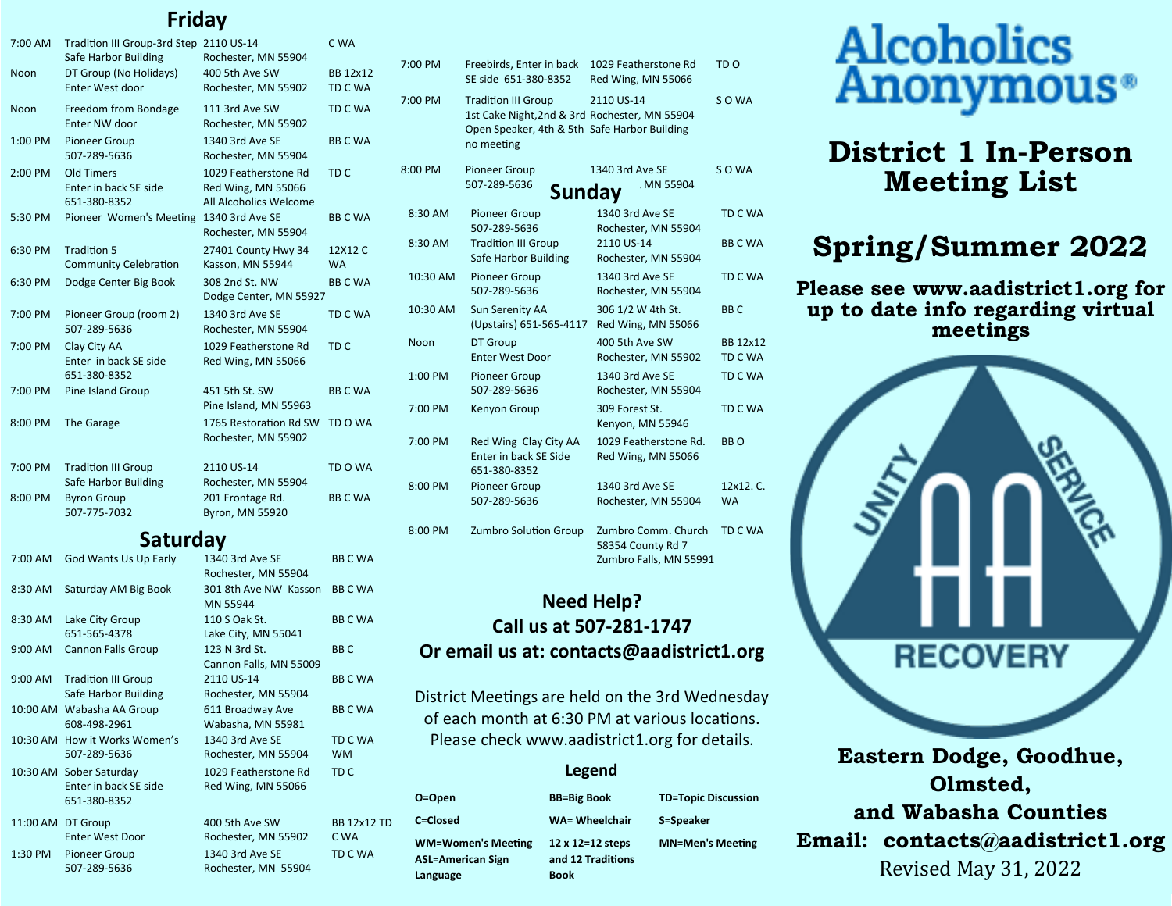# **Friday**

| 7:00 AM   | Tradition III Group-3rd Step 2110 US-14<br>Safe Harbor Building | Rochester, MN 55904                                                  | C WA                 |
|-----------|-----------------------------------------------------------------|----------------------------------------------------------------------|----------------------|
| Noon      | DT Group (No Holidays)<br>Enter West door                       | 400 5th Ave SW<br>Rochester, MN 55902                                | BB 12x12<br>TD C WA  |
| Noon      | Freedom from Bondage<br>Enter NW door                           | 111 3rd Ave SW<br>Rochester, MN 55902                                | TD C WA              |
| 1:00 PM   | <b>Pioneer Group</b><br>507-289-5636                            | 1340 3rd Ave SE<br>Rochester, MN 55904                               | <b>BBCWA</b>         |
| $2:00$ PM | Old Timers<br>Enter in back SE side<br>651-380-8352             | 1029 Featherstone Rd<br>Red Wing, MN 55066<br>All Alcoholics Welcome | TD <sub>C</sub>      |
| 5:30 PM   | Pioneer Women's Meeting                                         | 1340 3rd Ave SE<br>Rochester, MN 55904                               | <b>BBCWA</b>         |
| 6:30 PM   | <b>Tradition 5</b><br><b>Community Celebration</b>              | 27401 County Hwy 34<br>Kasson, MN 55944                              | 12X12 C<br><b>WA</b> |
| 6:30 PM   | Dodge Center Big Book                                           | 308 2nd St. NW<br>Dodge Center, MN 55927                             | <b>BBCWA</b>         |
| 7:00 PM   | Pioneer Group (room 2)<br>507-289-5636                          | 1340 3rd Ave SE<br>Rochester, MN 55904                               | <b>TD C WA</b>       |
| 7:00 PM   | Clay City AA<br>Enter in back SE side<br>651-380-8352           | 1029 Featherstone Rd<br>Red Wing, MN 55066                           | TD <sub>C</sub>      |
| $7:00$ PM | Pine Island Group                                               | 451 5th St. SW<br>Pine Island, MN 55963                              | <b>BBCWA</b>         |
| 8:00 PM   | The Garage                                                      | 1765 Restoration Rd SW<br>Rochester, MN 55902                        | TD O WA              |
| 7:00 PM   | <b>Tradition III Group</b><br>Safe Harbor Building              | 2110 US-14<br>Rochester, MN 55904                                    | TD O WA              |
| 8:00 PM   | <b>Byron Group</b><br>507-775-7032                              | 201 Frontage Rd.<br><b>Byron, MN 55920</b>                           | <b>BBCWA</b>         |

### **Saturday**

| 7:00 AM   | <b>God Wants Us Up Early</b>                                     | 1340 3rd Ave SE<br>Rochester, MN 55904     | <b>BBCWA</b>               |
|-----------|------------------------------------------------------------------|--------------------------------------------|----------------------------|
| 8:30 AM   | Saturday AM Big Book                                             | 301 8th Ave NW Kasson<br>MN 55944          | <b>BBCWA</b>               |
| 8:30 AM   | Lake City Group<br>651-565-4378                                  | 110 S Oak St.<br>Lake City, MN 55041       | <b>BBCWA</b>               |
| 9:00 AM   | <b>Cannon Falls Group</b>                                        | 123 N 3rd St.<br>Cannon Falls, MN 55009    | BB <sub>C</sub>            |
| $9:00$ AM | <b>Tradition III Group</b><br>Safe Harbor Building               | 2110 US-14<br>Rochester, MN 55904          | <b>BBCWA</b>               |
|           | 10:00 AM Wabasha AA Group<br>608-498-2961                        | 611 Broadway Ave<br>Wabasha, MN 55981      | <b>BBCWA</b>               |
|           | 10:30 AM How it Works Women's<br>507-289-5636                    | 1340 3rd Ave SE<br>Rochester, MN 55904     | TD C WA<br><b>WM</b>       |
|           | 10:30 AM Sober Saturday<br>Enter in back SE side<br>651-380-8352 | 1029 Featherstone Rd<br>Red Wing, MN 55066 | TD <sub>C</sub>            |
|           | 11:00 AM DT Group<br><b>Enter West Door</b>                      | 400 5th Ave SW<br>Rochester, MN 55902      | <b>BB 12x12 TD</b><br>C WA |
| 1:30 PM   | <b>Pioneer Group</b><br>507-289-5636                             | 1340 3rd Ave SE<br>Rochester, MN 55904     | TD C WA                    |

| 7:00 PM   | Freebirds, Enter in back<br>SE side 651-380-8352                                                                                          | 1029 Featherstone Rd<br>Red Wing, MN 55066                         | TD <sub>O</sub>        |
|-----------|-------------------------------------------------------------------------------------------------------------------------------------------|--------------------------------------------------------------------|------------------------|
| 7:00 PM   | <b>Tradition III Group</b><br>1st Cake Night, 2nd & 3rd Rochester, MN 55904<br>Open Speaker, 4th & 5th Safe Harbor Building<br>no meeting | 2110 US-14                                                         | SO WA                  |
| 8:00 PM   | <b>Pioneer Group</b><br>507-289-5636<br>Sunday                                                                                            | 1340 3rd Ave SE<br>MN 55904                                        | SO WA                  |
| 8:30 AM   | <b>Pioneer Group</b><br>507-289-5636                                                                                                      | 1340 3rd Ave SE<br>Rochester, MN 55904                             | TD C WA                |
| 8:30 AM   | <b>Tradition III Group</b><br>Safe Harbor Building                                                                                        | 2110 US-14<br>Rochester, MN 55904                                  | <b>BBCWA</b>           |
| 10:30 AM  | Pioneer Group<br>507-289-5636                                                                                                             | 1340 3rd Ave SE<br>Rochester, MN 55904                             | TD C WA                |
| 10:30 AM  | Sun Serenity AA<br>(Upstairs) 651-565-4117                                                                                                | 306 1/2 W 4th St.<br>Red Wing, MN 55066                            | BB <sub>C</sub>        |
| Noon      | DT Group<br><b>Enter West Door</b>                                                                                                        | 400 5th Ave SW<br>Rochester, MN 55902                              | BB 12x12<br>TD C WA    |
| $1:00$ PM | Pioneer Group<br>507-289-5636                                                                                                             | 1340 3rd Ave SE<br>Rochester, MN 55904                             | TD C WA                |
| 7:00 PM   | Kenyon Group                                                                                                                              | 309 Forest St.<br>Kenyon, MN 55946                                 | TD C WA                |
| 7:00 PM   | Red Wing Clay City AA<br>Enter in back SE Side<br>651-380-8352                                                                            | 1029 Featherstone Rd.<br>Red Wing, MN 55066                        | BB O                   |
| 8:00 PM   | <b>Pioneer Group</b><br>507-289-5636                                                                                                      | 1340 3rd Ave SE<br>Rochester, MN 55904                             | 12x12. C.<br><b>WA</b> |
| 8:00 PM   | Zumbro Solution Group                                                                                                                     | Zumbro Comm. Church<br>58354 County Rd 7<br>Zumbro Falls, MN 55991 | TD C WA                |

### **Need Help? Call us at 507-281-1747 Or email us at: contacts@aadistrict1.org**

District Meetings are held on the 3rd Wednesday of each month at 6:30 PM at various locations. Please check www.aadistrict1.org for details.

#### **Legend**

| O=Open                    | <b>BB=Big Book</b> |
|---------------------------|--------------------|
| C=Closed                  | WA= Wheelchai      |
| <b>WM=Women's Meeting</b> | 12 x 12=12 step    |
| ASL=American Sign         | and 12 Tradition   |
| Language                  | <b>Book</b>        |

| <b>BB=Big Book</b>                    | <b>TD=Topic Discussion</b> |
|---------------------------------------|----------------------------|
| <b>WA= Wheelchair</b>                 | S=Speaker                  |
| 12 x 12=12 steps<br>and 12 Traditions | <b>MN=Men's Meeting</b>    |

# Alcoholics<br>Anonymous<sup>®</sup>

# **District 1 In-Person Meeting List**

# **Spring/Summer 2022**

**Please see www.aadistrict1.org for up to date info regarding virtual meetings**



**Eastern Dodge, Goodhue, Olmsted, and Wabasha Counties Email: contacts@aadistrict1.org**  Revised May 31, 2022